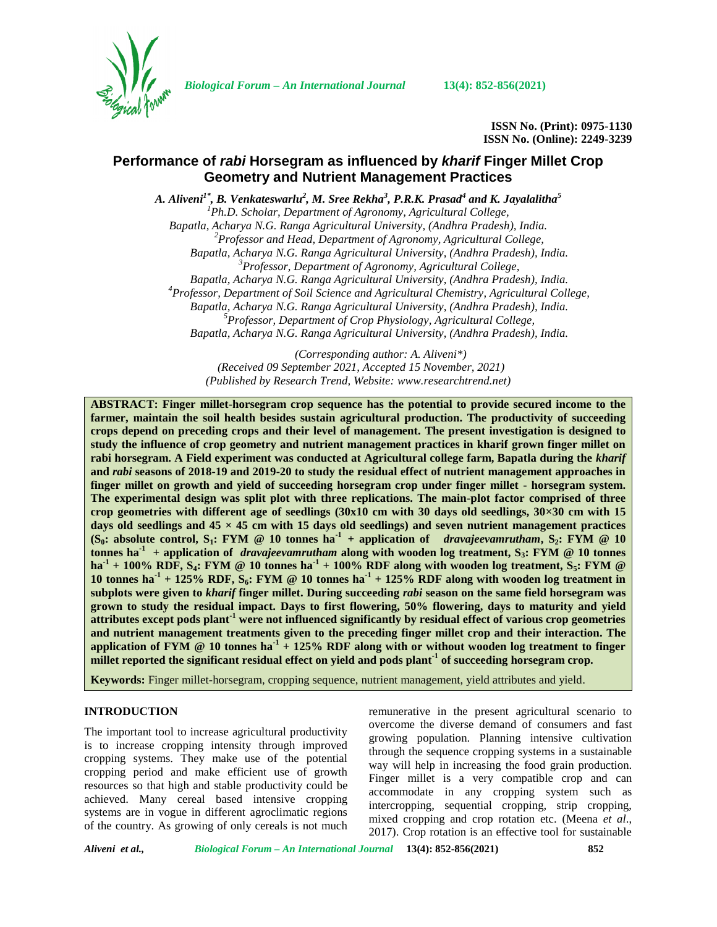

*Biological Forum – An International Journal* **13(4): 852-856(2021)**

**ISSN No. (Print): 0975-1130 ISSN No. (Online): 2249-3239**

# **Performance of** *rabi* **Horsegram as influenced by** *kharif* **Finger Millet Crop Geometry and Nutrient Management Practices**

*A. Aliveni1\* , B. Venkateswarlu<sup>2</sup> , M. Sree Rekha<sup>3</sup> , P.R.K. Prasad<sup>4</sup> and K. Jayalalitha<sup>5</sup>*

*<sup>1</sup>Ph.D. Scholar, Department of Agronomy, Agricultural College, Bapatla, Acharya N.G. Ranga Agricultural University, (Andhra Pradesh), India. <sup>2</sup>Professor and Head, Department of Agronomy, Agricultural College, Bapatla, Acharya N.G. Ranga Agricultural University, (Andhra Pradesh), India. <sup>3</sup>Professor, Department of Agronomy, Agricultural College, Bapatla, Acharya N.G. Ranga Agricultural University, (Andhra Pradesh), India. <sup>4</sup>Professor, Department of Soil Science and Agricultural Chemistry, Agricultural College, Bapatla, Acharya N.G. Ranga Agricultural University, (Andhra Pradesh), India. <sup>5</sup>Professor, Department of Crop Physiology, Agricultural College, Bapatla, Acharya N.G. Ranga Agricultural University, (Andhra Pradesh), India.*

*(Corresponding author: A. Aliveni\*) (Received 09 September 2021, Accepted 15 November, 2021) (Published by Research Trend, Website: [www.researchtrend.net\)](www.researchtrend.net)*

**ABSTRACT: Finger millet-horsegram crop sequence has the potential to provide secured income to the farmer, maintain the soil health besides sustain agricultural production. The productivity of succeeding crops depend on preceding crops and their level of management. The present investigation is designed to study the influence of crop geometry and nutrient management practices in kharif grown finger millet on rabi horsegram. A Field experiment was conducted at Agricultural college farm, Bapatla during the** *kharif* **and** *rabi* **seasons of 2018-19 and 2019-20 to study the residual effect of nutrient management approaches in finger millet on growth and yield of succeeding horsegram crop under finger millet - horsegram system. The experimental design was split plot with three replications. The main-plot factor comprised of three** crop geometries with different age of seedlings  $(30x10 \text{ cm with } 30 \text{ days old seedlings}, 30 \times 30 \text{ cm with } 15 \text{ years})$ **days old seedlings and 45 × 45 cm with 15 days old seedlings) and seven nutrient management practices (S<sub>0</sub>:** absolute control, S<sub>1</sub>**:** FYM @ 10 tonnes ha<sup>1</sup> + application of *dravajeevamrutham*, S<sub>2</sub>**:** FYM @ 10 **tonnes ha**<sup>1</sup> + application of *dravajeevamrutham* along with wooden log treatment,  $S_3$ **: FYM** @ 10 tonnes  $h$  **h**a<sup>-1</sup> + 100% RDF, S<sub>4</sub>**: FYM** @ 10 tonnes ha<sup>-1</sup> + 100% RDF along with wooden log treatment, S<sub>5</sub>**: FYM** @ 10 tonnes ha<sup> $1$ </sup> + 125% RDF, S<sub>6</sub>: FYM @ 10 tonnes ha<sup> $1$ </sup> + 125% RDF along with wooden log treatment in **subplots were given to** *kharif* **finger millet. During succeeding** *rabi* **season on the same field horsegram was grown to study the residual impact. Days to first flowering, 50% flowering, days to maturity and yield attributes except pods plant-1 were not influenced significantly by residual effect of various crop geometries and nutrient management treatments given to the preceding finger millet crop and their interaction. The application of FYM @ 10 tonnes ha-1 + 125% RDF along with or without wooden log treatment to finger millet reported the significant residual effect on yield and pods plant-1 of succeeding horsegram crop.**

**Keywords:** Finger millet-horsegram, cropping sequence, nutrient management, yield attributes and yield.

## **INTRODUCTION**

The important tool to increase agricultural productivity is to increase cropping intensity through improved cropping systems. They make use of the potential cropping period and make efficient use of growth resources so that high and stable productivity could be achieved. Many cereal based intensive cropping systems are in vogue in different agroclimatic regions of the country. As growing of only cereals is not much

remunerative in the present agricultural scenario to overcome the diverse demand of consumers and fast growing population. Planning intensive cultivation through the sequence cropping systems in a sustainable way will help in increasing the food grain production. Finger millet is a very compatible crop and can accommodate in any cropping system such as intercropping, sequential cropping, strip cropping, mixed cropping and crop rotation etc. (Meena *et al*., 2017). Crop rotation is an effective tool for sustainable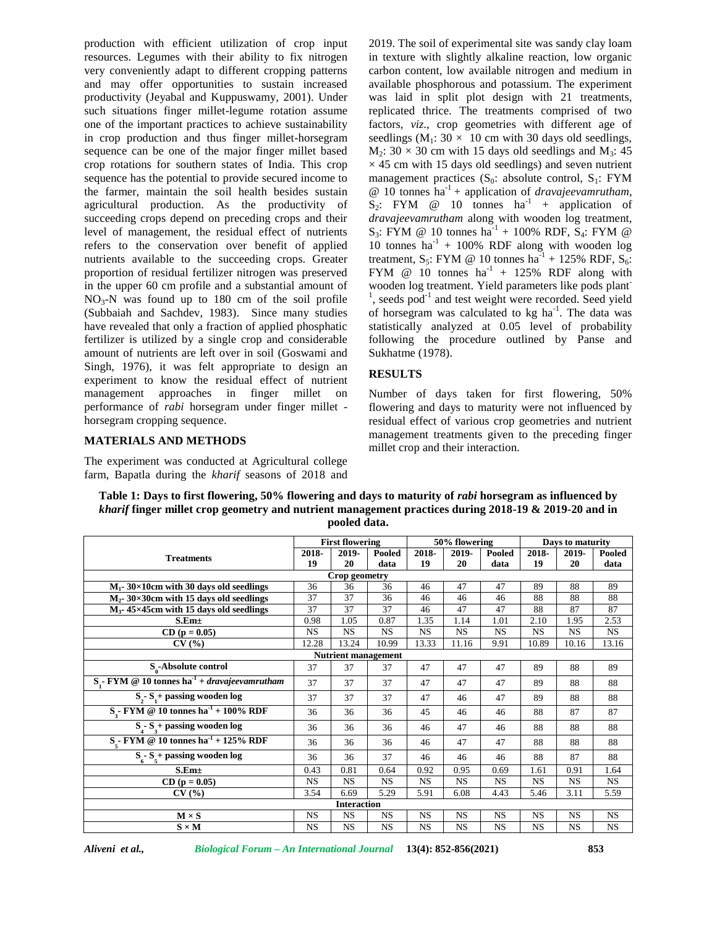production with efficient utilization of crop input resources. Legumes with their ability to fix nitrogen very conveniently adapt to different cropping patterns and may offer opportunities to sustain increased productivity (Jeyabal and Kuppuswamy, 2001). Under such situations finger millet-legume rotation assume one of the important practices to achieve sustainability in crop production and thus finger millet-horsegram sequence can be one of the major finger millet based crop rotations for southern states of India. This crop sequence has the potential to provide secured income to the farmer, maintain the soil health besides sustain agricultural production. As the productivity of succeeding crops depend on preceding crops and their level of management, the residual effect of nutrients refers to the conservation over benefit of applied nutrients available to the succeeding crops. Greater proportion of residual fertilizer nitrogen was preserved in the upper 60 cm profile and a substantial amount of  $NO<sub>3</sub>-N$  was found up to 180 cm of the soil profile (Subbaiah and Sachdev, 1983). Since many studies have revealed that only a fraction of applied phosphatic fertilizer is utilized by a single crop and considerable amount of nutrients are left over in soil (Goswami and Singh, 1976), it was felt appropriate to design an experiment to know the residual effect of nutrient management approaches in finger millet on performance of *rabi* horsegram under finger millet horsegram cropping sequence.

2019. The soil of experimental site was sandy clay loam in texture with slightly alkaline reaction, low organic carbon content, low available nitrogen and medium in available phosphorous and potassium. The experiment was laid in split plot design with 21 treatments, replicated thrice. The treatments comprised of two factors, *viz*., crop geometries with different age of seedlings ( $M_1$ : 30 × 10 cm with 30 days old seedlings,  $M_2$ : 30 × 30 cm with 15 days old seedlings and  $M_3$ : 45  $\times$  45 cm with 15 days old seedlings) and seven nutrient management practices  $(S_0:$  absolute control,  $S_1:$  FYM @ 10 tonnes ha-1 + application of *dravajeevamrutham*,  $S_2$ : FYM @ 10 tonnes  $ha^{-1}$  + application of *dravajeevamrutham* along with wooden log treatment,  $S_3$ : FYM @ 10 tonnes ha<sup>-1</sup> + 100% RDF,  $S_4$ : FYM @ 10 tonnes ha<sup>-1</sup> + 100% RDF along with wooden log treatment, S<sub>5</sub>: FYM @ 10 tonnes  $ha^{-1}$  + 125% RDF, S<sub>6</sub>: FYM @ 10 tonnes  $ha^{-1}$  + 125% RDF along with wooden log treatment. Yield parameters like pods plant-<sup>1</sup>, seeds pod<sup>-1</sup> and test weight were recorded. Seed yield of horsegram was calculated to kg ha<sup>-1</sup>. The data was statistically analyzed at 0.05 level of probability following the procedure outlined by Panse and Sukhatme (1978).

## **RESULTS**

Number of days taken for first flowering, 50% flowering and days to maturity were not influenced by residual effect of various crop geometries and nutrient management treatments given to the preceding finger millet crop and their interaction.

#### **MATERIALS AND METHODS**

The experiment was conducted at Agricultural college farm, Bapatla during the *kharif* seasons of 2018 and

|                                                                  |                        | povicu uata.               |                |             |               |                |                  |             |                |
|------------------------------------------------------------------|------------------------|----------------------------|----------------|-------------|---------------|----------------|------------------|-------------|----------------|
|                                                                  | <b>First flowering</b> |                            |                |             | 50% flowering |                | Days to maturity |             |                |
| <b>Treatments</b>                                                | 2018-<br>19            | 2019-<br>20                | Pooled<br>data | 2018-<br>19 | 2019-<br>20   | Pooled<br>data | 2018-<br>19      | 2019-<br>20 | Pooled<br>data |
|                                                                  |                        | Crop geometry              |                |             |               |                |                  |             |                |
| $\overline{M_1}$ - 30×10cm with 30 days old seedlings            | 36                     | 36                         | 36             | 46          | 47            | 47             | 89               | 88          | 89             |
| $M_2$ - 30×30cm with 15 days old seedlings                       | 37                     | 37                         | 36             | 46          | 46            | 46             | 88               | 88          | 88             |
| $M_3$ - 45×45cm with 15 days old seedlings                       | $\overline{37}$        | 37                         | 37             | 46          | 47            | 47             | 88               | 87          | 87             |
| $S.Em\pm$                                                        | 0.98                   | 1.05                       | 0.87           | 1.35        | 1.14          | 1.01           | 2.10             | 1.95        | 2.53           |
| $CD (p = 0.05)$                                                  | <b>NS</b>              | <b>NS</b>                  | <b>NS</b>      | <b>NS</b>   | <b>NS</b>     | <b>NS</b>      | <b>NS</b>        | <b>NS</b>   | <b>NS</b>      |
| CV(%)                                                            | 12.28                  | 13.24                      | 10.99          | 13.33       | 11.16         | 9.91           | 10.89            | 10.16       | 13.16          |
|                                                                  |                        | <b>Nutrient management</b> |                |             |               |                |                  |             |                |
| S-Absolute control                                               | 37                     | 37                         | 37             | 47          | 47            | 47             | 89               | 88          | 89             |
| $S - FYM \otimes 10$ tonnes ha <sup>-1</sup> + dravajeevamrutham | 37                     | 37                         | 37             | 47          | 47            | 47             | 89               | 88          | 88             |
| $S_{2}$ - $S_{1}$ + passing wooden log                           | 37                     | 37                         | 37             | 47          | 46            | 47             | 89               | 88          | 88             |
| $S_{2}$ - FYM @ 10 tonnes ha <sup>-1</sup> + 100% RDF            | 36                     | 36                         | 36             | 45          | 46            | 46             | 88               | 87          | 87             |
| $S_4$ - $S_4$ + passing wooden log                               | 36                     | 36                         | 36             | 46          | 47            | 46             | 88               | 88          | 88             |
| $Ss$ - FYM @ 10 tonnes ha <sup>-1</sup> + 125% RDF               | 36                     | 36                         | 36             | 46          | 47            | 47             | 88               | 88          | 88             |
| $S_{6} - S_{5} +$ passing wooden log                             | 36                     | 36                         | 37             | 46          | 46            | 46             | 88               | 87          | 88             |
| S.Em <sub>±</sub>                                                | 0.43                   | 0.81                       | 0.64           | 0.92        | 0.95          | 0.69           | 1.61             | 0.91        | 1.64           |
| $CD (p = 0.05)$                                                  | <b>NS</b>              | <b>NS</b>                  | <b>NS</b>      | <b>NS</b>   | <b>NS</b>     | <b>NS</b>      | <b>NS</b>        | <b>NS</b>   | <b>NS</b>      |
| CV(%)                                                            | 3.54                   | 6.69                       | 5.29           | 5.91        | 6.08          | 4.43           | 5.46             | 3.11        | 5.59           |
|                                                                  |                        | <b>Interaction</b>         |                |             |               |                |                  |             |                |
| $M \times S$                                                     | <b>NS</b>              | <b>NS</b>                  | <b>NS</b>      | <b>NS</b>   | <b>NS</b>     | <b>NS</b>      | <b>NS</b>        | <b>NS</b>   | <b>NS</b>      |
| $S \times M$                                                     | NS.                    | <b>NS</b>                  | <b>NS</b>      | <b>NS</b>   | <b>NS</b>     | <b>NS</b>      | <b>NS</b>        | <b>NS</b>   | <b>NS</b>      |

**Table 1: Days to first flowering, 50% flowering and days to maturity of** *rabi* **horsegram as influenced by** *kharif* **finger millet crop geometry and nutrient management practices during 2018-19 & 2019-20 and in pooled data.**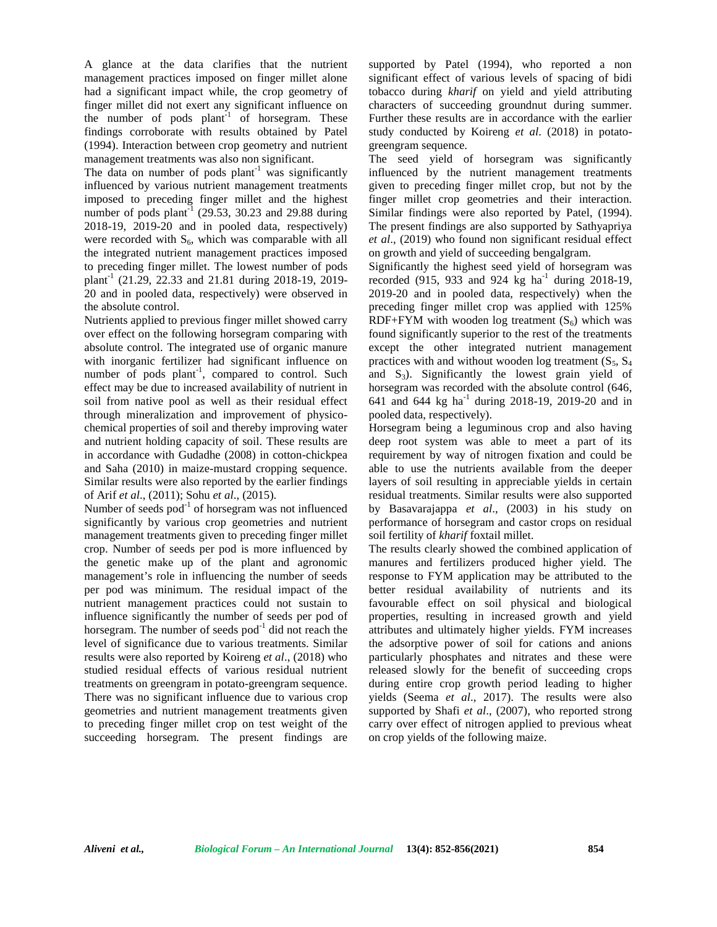A glance at the data clarifies that the nutrient management practices imposed on finger millet alone had a significant impact while, the crop geometry of finger millet did not exert any significant influence on the number of pods  $plant^{-1}$  of horsegram. These findings corroborate with results obtained by Patel (1994). Interaction between crop geometry and nutrient management treatments was also non significant.

The data on number of pods  $plant^{-1}$  was significantly influenced by various nutrient management treatments imposed to preceding finger millet and the highest number of pods plant<sup>-1</sup> (29.53, 30.23 and 29.88 during 2018-19, 2019-20 and in pooled data, respectively) were recorded with  $S_6$ , which was comparable with all the integrated nutrient management practices imposed to preceding finger millet. The lowest number of pods plant-1 (21.29, 22.33 and 21.81 during 2018-19, 2019- 20 and in pooled data, respectively) were observed in the absolute control.

Nutrients applied to previous finger millet showed carry over effect on the following horsegram comparing with absolute control. The integrated use of organic manure with inorganic fertilizer had significant influence on number of pods plant<sup>-1</sup>, compared to control. Such and effect may be due to increased availability of nutrient in soil from native pool as well as their residual effect through mineralization and improvement of physico chemical properties of soil and thereby improving water and nutrient holding capacity of soil. These results are in accordance with Gudadhe (2008) in cotton-chickpea and Saha (2010) in maize-mustard cropping sequence. Similar results were also reported by the earlier findings of Arif *et al*., (2011); Sohu *et al*., (2015).

Number of seeds  $pod^{-1}$  of horsegram was not influenced significantly by various crop geometries and nutrient management treatments given to preceding finger millet crop. Number of seeds per pod is more influenced by the genetic make up of the plant and agronomic management's role in influencing the number of seeds per pod was minimum. The residual impact of the nutrient management practices could not sustain to influence significantly the number of seeds per pod of horsegram. The number of seeds  $pod^{-1}$  did not reach the level of significance due to various treatments. Similar results were also reported by Koireng *et al*., (2018) who studied residual effects of various residual nutrient treatments on greengram in potato-greengram sequence. There was no significant influence due to various crop geometries and nutrient management treatments given to preceding finger millet crop on test weight of the succeeding horsegram. The present findings are

supported by Patel (1994), who reported a non significant effect of various levels of spacing of bidi tobacco during *kharif* on yield and yield attributing characters of succeeding groundnut during summer. Further these results are in accordance with the earlier study conducted by Koireng *et al*. (2018) in potato greengram sequence.

The seed yield of horsegram was significantly influenced by the nutrient management treatments given to preceding finger millet crop, but not by the finger millet crop geometries and their interaction. Similar findings were also reported by Patel, (1994). The present findings are also supported by Sathyapriya *et al*., (2019) who found non significant residual effect on growth and yield of succeeding bengalgram.

Significantly the highest seed yield of horsegram was recorded (915, 933 and 924 kg ha<sup>-1</sup> during 2018-19, 2019-20 and in pooled data, respectively) when the preceding finger millet crop was applied with 125% RDF+FYM with wooden log treatment  $(S_6)$  which was found significantly superior to the rest of the treatments except the other integrated nutrient management practices with and without wooden log treatment  $(S_5, S_4)$ and  $S_3$ ). Significantly the lowest grain yield of horsegram was recorded with the absolute control (646, 641 and 644 kg ha<sup>-1</sup> during 2018-19, 2019-20 and in pooled data, respectively).

Horsegram being a leguminous crop and also having deep root system was able to meet a part of its requirement by way of nitrogen fixation and could be able to use the nutrients available from the deeper layers of soil resulting in appreciable yields in certain residual treatments. Similar results were also supported by Basavarajappa *et al*., (2003) in his study on performance of horsegram and castor crops on residual soil fertility of *kharif* foxtail millet.

The results clearly showed the combined application of manures and fertilizers produced higher yield. The response to FYM application may be attributed to the better residual availability of nutrients and its favourable effect on soil physical and biological properties, resulting in increased growth and yield attributes and ultimately higher yields. FYM increases the adsorptive power of soil for cations and anions particularly phosphates and nitrates and these were released slowly for the benefit of succeeding crops during entire crop growth period leading to higher yields (Seema *et al*., 2017). The results were also supported by Shafi *et al*., (2007), who reported strong carry over effect of nitrogen applied to previous wheat on crop yields of the following maize.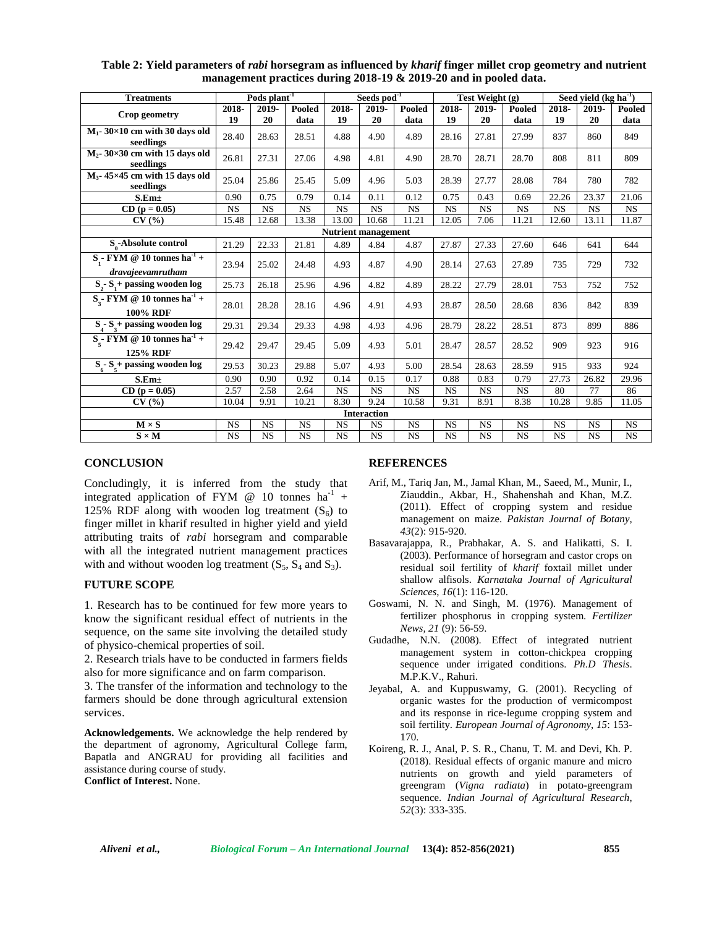| <b>Treatments</b>                                                        | Pods plant <sup>-1</sup> |           | Seeds pod <sup>-1</sup> |                            |                    | Test Weight (g) |           |           | Seed vield $(kg ha-1)$ |           |           |           |
|--------------------------------------------------------------------------|--------------------------|-----------|-------------------------|----------------------------|--------------------|-----------------|-----------|-----------|------------------------|-----------|-----------|-----------|
| Crop geometry                                                            | 2018-                    | 2019-     | Pooled                  | 2018-                      | 2019-              | Pooled          | 2018-     | 2019-     | Pooled                 | 2018-     | 2019-     | Pooled    |
|                                                                          | 19                       | 20        | data                    | 19                         | 20                 | data            | 19        | 20        | data                   | 19        | 20        | data      |
| $M_1$ - 30×10 cm with 30 days old<br>seedlings                           | 28.40                    | 28.63     | 28.51                   | 4.88                       | 4.90               | 4.89            | 28.16     | 27.81     | 27.99                  | 837       | 860       | 849       |
| $M_2$ - 30×30 cm with 15 days old<br>seedlings                           | 26.81                    | 27.31     | 27.06                   | 4.98                       | 4.81               | 4.90            | 28.70     | 28.71     | 28.70                  | 808       | 811       | 809       |
| $M_3$ - 45×45 cm with 15 days old<br>seedlings                           | 25.04                    | 25.86     | 25.45                   | 5.09                       | 4.96               | 5.03            | 28.39     | 27.77     | 28.08                  | 784       | 780       | 782       |
| S.Em <sub>±</sub>                                                        | 0.90                     | 0.75      | 0.79                    | 0.14                       | 0.11               | 0.12            | 0.75      | 0.43      | 0.69                   | 22.26     | 23.37     | 21.06     |
| $CD (p = 0.05)$                                                          | <b>NS</b>                | <b>NS</b> | <b>NS</b>               | <b>NS</b>                  | <b>NS</b>          | <b>NS</b>       | <b>NS</b> | <b>NS</b> | <b>NS</b>              | <b>NS</b> | <b>NS</b> | <b>NS</b> |
| CV(%)                                                                    | 15.48                    | 12.68     | 13.38                   | 13.00                      | 10.68              | 11.21           | 12.05     | 7.06      | 11.21                  | 12.60     | 13.11     | 11.87     |
|                                                                          |                          |           |                         | <b>Nutrient management</b> |                    |                 |           |           |                        |           |           |           |
| S-Absolute control                                                       | 21.29                    | 22.33     | 21.81                   | 4.89                       | 4.84               | 4.87            | 27.87     | 27.33     | 27.60                  | 646       | 641       | 644       |
| S <sub>.</sub> - FYM @ 10 tonnes ha <sup>-1</sup> +<br>dravajeevamrutham | 23.94                    | 25.02     | 24.48                   | 4.93                       | 4.87               | 4.90            | 28.14     | 27.63     | 27.89                  | 735       | 729       | 732       |
| $S - S + p$ passing wooden log                                           | 25.73                    | 26.18     | 25.96                   | 4.96                       | 4.82               | 4.89            | 28.22     | 27.79     | 28.01                  | 753       | 752       | 752       |
| $S - FYM \otimes 10$ tonnes ha <sup>-1</sup> +<br><b>100% RDF</b>        | 28.01                    | 28.28     | 28.16                   | 4.96                       | 4.91               | 4.93            | 28.87     | 28.50     | 28.68                  | 836       | 842       | 839       |
| $S_1 - S_2 +$ passing wooden log                                         | 29.31                    | 29.34     | 29.33                   | 4.98                       | 4.93               | 4.96            | 28.79     | 28.22     | 28.51                  | 873       | 899       | 886       |
| $S_{\zeta}$ - FYM @ 10 tonnes ha <sup>-1</sup> +<br>125% RDF             | 29.42                    | 29.47     | 29.45                   | 5.09                       | 4.93               | 5.01            | 28.47     | 28.57     | 28.52                  | 909       | 923       | 916       |
| $S_{6}$ - $S_{5}$ + passing wooden log                                   | 29.53                    | 30.23     | 29.88                   | 5.07                       | 4.93               | 5.00            | 28.54     | 28.63     | 28.59                  | 915       | 933       | 924       |
| S.Em <sub>±</sub>                                                        | 0.90                     | 0.90      | 0.92                    | 0.14                       | 0.15               | 0.17            | 0.88      | 0.83      | 0.79                   | 27.73     | 26.82     | 29.96     |
| $CD (p = 0.05)$                                                          | 2.57                     | 2.58      | 2.64                    | <b>NS</b>                  | <b>NS</b>          | <b>NS</b>       | <b>NS</b> | <b>NS</b> | <b>NS</b>              | 80        | 77        | 86        |
| CV(%)                                                                    | 10.04                    | 9.91      | 10.21                   | 8.30                       | 9.24               | 10.58           | 9.31      | 8.91      | 8.38                   | 10.28     | 9.85      | 11.05     |
|                                                                          |                          |           |                         |                            | <b>Interaction</b> |                 |           |           |                        |           |           |           |
| $M \times S$                                                             | <b>NS</b>                | <b>NS</b> | <b>NS</b>               | <b>NS</b>                  | <b>NS</b>          | <b>NS</b>       | <b>NS</b> | <b>NS</b> | <b>NS</b>              | <b>NS</b> | <b>NS</b> | <b>NS</b> |
| $S \times M$                                                             | <b>NS</b>                | <b>NS</b> | <b>NS</b>               | <b>NS</b>                  | <b>NS</b>          | <b>NS</b>       | <b>NS</b> | <b>NS</b> | <b>NS</b>              | <b>NS</b> | <b>NS</b> | <b>NS</b> |

**Table 2: Yield parameters of** *rabi* **horsegram as influenced by** *kharif* **finger millet crop geometry and nutrient management practices during 2018-19 & 2019-20 and in pooled data.**

## **CONCLUSION**

Concludingly, it is inferred from the study that integrated application of FYM  $\omega$  10 tonnes ha<sup>-1</sup> + 125% RDF along with wooden log treatment  $(S_6)$  to finger millet in kharif resulted in higher yield and yield attributing traits of *rabi* horsegram and comparable with all the integrated nutrient management practices with and without wooden log treatment  $(S_5, S_4 \text{ and } S_3)$ .

## **FUTURE SCOPE**

1. Research has to be continued for few more years to know the significant residual effect of nutrients in the sequence, on the same site involving the detailed study of physico-chemical properties of soil.

2. Research trials have to be conducted in farmers fields also for more significance and on farm comparison.

3. The transfer of the information and technology to the farmers should be done through agricultural extension services.

**Acknowledgements.** We acknowledge the help rendered by the department of agronomy, Agricultural College farm, Bapatla and ANGRAU for providing all facilities and assistance during course of study.

**Conflict of Interest.** None.

## **REFERENCES**

- Arif, M., Tariq Jan, M., Jamal Khan, M., Saeed, M., Munir, I., Ziauddin., Akbar, H., Shahenshah and Khan, M.Z. (2011). Effect of cropping system and residue management on maize. *Pakistan Journal of Botany, 43*(2): 915-920.
- Basavarajappa, R., Prabhakar, A. S. and Halikatti, S. I. (2003). Performance of horsegram and castor crops on residual soil fertility of *kharif* foxtail millet under shallow alfisols. *Karnataka Journal of Agricultural Sciences*, *16*(1): 116-120.
- Goswami, N. N. and Singh, M. (1976). Management of fertilizer phosphorus in cropping system. *Fertilizer News, 21* (9): 56-59.
- Gudadhe, N.N. (2008). Effect of integrated nutrient management system in cotton-chickpea cropping sequence under irrigated conditions. *Ph.D Thesis*. M.P.K.V., Rahuri.
- Jeyabal, A. and Kuppuswamy, G. (2001). Recycling of organic wastes for the production of vermicompost and its response in rice-legume cropping system and soil fertility. *European Journal of Agronomy*, *15*: 153- 170.
- Koireng, R. J., Anal, P. S. R., Chanu, T. M. and Devi, Kh. P. (2018). Residual effects of organic manure and micro nutrients on growth and yield parameters of greengram (*Vigna radiata*) in potato-greengram sequence. *Indian Journal of Agricultural Research*, *52*(3): 333-335.